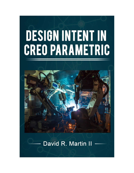# DESIGN INTENT IN **CREO PARAMETRIC**



# David R. Martin II -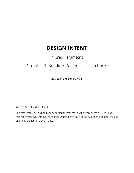# **DESIGN INTENT**

## in Creo Parametric

## Chapter 3: Building Design Intent in Parts

By David Randolph Martin II

© 2017 David Randolph Martin II

All rights reserved. This book or any portion thereof may not be reproduced or used in any manner whatsoever without the express written permission of the publisher except for the use of brief quotations in a book review.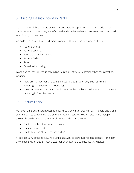### 3. Building Design Intent in Parts

A part is a model that consists of features and typically represents an object made out of a single material or composite; manufactured under a defined set of processes; and controlled as a distinct, discrete unit.

We build Design Intent into Part models primarily through the following methods:

- Feature Choice.
- Feature Options.
- Parent-Child Relationships.
- Feature Order.
- Relations.
- Behavioral Modeling.

In addition to these methods of building Design Intent we will examine other considerations, including:

- More artistic methods of creating Industrial Design geometry, such as Freeform Surfacing and Subdivisional Modeling.
- The Direct Modeling Paradigm and how it can be combined with traditional parametric modeling in Creo Parametric.

#### 3.1. Feature Choice

We have numerous different classes of features that we can create in part models, and these different classes contain multiple different types of features. You will often have multiple choices that will create the same result. Which is the best choice?

- The first method that comes to mind?
- The easiest method?
- The fastest one / fewest mouse clicks?

If you chose any of the above… well, you might want to start over reading at page 1. The best choice depends on Design Intent. Let's look at an example to illustrate this choice: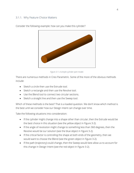#### 3.1.1. Why Feature Choice Matters



Consider the following example: how can you make this cylinder?

*Figure 3-1. A simple cylinder part model.*

There are numerous methods in Creo Parametric. Some of the more of the obvious methods include:

- Sketch a circle then use the Extrude tool.
- Sketch a rectangle and then use the Revolve tool.
- Use the Blend tool to connect two circular sections.
- Sketch a straight line and then use the Sweep tool.

Which of these methods is the best? That is a loaded question. We don't know which method is the best until we consider how our Design Intent can change over time.

Take the following situations into consideration:

- If the cylinder might change into a shape other than circular, then the Extrude would be the best choice in this situation (see the yellow object in [Figure 3-2\)](#page-4-0).
- If the angle of revolution might change to something less than 360 degrees, then the Revolve would be our solution (see the blue object in [Figure 3-2\)](#page-4-0).
- If the critical factor is controlling the shape at both ends of the geometry, then we would want to choose the Blend (see the green object in [Figure 3-2\)](#page-4-0).
- If the path (trajectory) could change, then the Sweep would best allow us to account for this change in Design Intent (see the red object in [Figure 3-2\)](#page-4-0).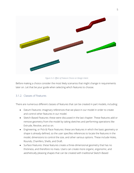

*Figure 3-2. Effect of Feature Choice on Design Intent.*

<span id="page-4-0"></span>Before making a choice consider the most likely scenarios that might change in requirements later on. Let that be your guide when selecting which features to choose.

#### 3.1.2. Classes of Features

There are numerous different classes of features that can be created in part models, including:

- Datum Features: imaginary references that we place in our model in order to create and control other features in our model.
- Sketch-Based Features: these were discussed in the last chapter. These features add or remove geometry from the model by taking sketches and performing operations like Extrude, Revolve, and so on.
- Engineering, or Pick & Place Features: these are features in which the basic geometry or shape is already defined, so the user specifies references to locate the features in the model, dimensions to control the size, and other various options. These include Holes, Rounds, Chamfers, Shells, and Draft.
- Surface Features: these features create a three-dimensional geometry that has no thickness, and therefore no mass. Users can create more organic, ergonomic, and aesthetically pleasing shapes that can be created with traditional Sketch-Based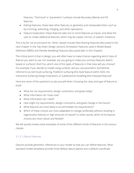Features. "Technical" or "parametric" surfaces include Boundary Blends and Fill features.

- Editing Features: these take other features or geometry and manipulate them, such as by trimming, extending, merging, and other operations.
- Feature Duplication: these features take one or more features as inputs, and allow the user to create additional features, which may be copies, mirrors, or pattern instances.

This is by far not an exclusive list. Other classes include Data Sharing Features (discussed in the next chapter in the Top Down Design section), Annotation Features used in Model Based Definition (MBD), and Flexible Modeling Features (discussed later in this chapter).

The critical point is that in design, you will often have to make choices regarding which class of feature you want to use. For example, are you going to make your primary features sketchbased or surfaces? And if so, which one of the types of features in that class will you choose? For example, if you decide to model using surfaces, will you use parametric (sometimes referred to as technical) surfacing, Freeform surfacing (the Style feature within ISDX, the Interactive Surfacing Design Extension), or Subdivisional modeling (the Freestyle feature)?

Here are some of the questions to ask yourself when choosing the class and type of feature to build:

- What are my requirements, design constraints, and goals today?
- What information do I have now?
- What information do I need?
- How might my requirements, design constraints, and goals change in the future?
- What features are most likely to accommodate my requirements?
- Which of these choices are most adaptable to change, preferably without resulting in regeneration failures or high amounts of rework? In other words, which of my feature choices are most robust and flexible?

We will quickly review some examples of some of the different kinds of features in the various classes.

#### 3.1.2.1.Datum Features

Datums provide geometric references in your model so that you can define features. Most standard model templates provide three default datum planes and a default coordinate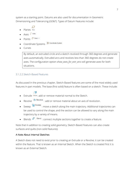system as a starting point. Datums are also used for documentation in Geometric Dimensioning and Tolerancing (GD&T). Types of Datum Features include:

$$
\begin{array}{cc}\n\bullet & \square \\
\bullet & \square\n\end{array}
$$

- $\bullet$  Axes  $\prime$  Axis
- Points  $\frac{1}{x}$  Point  $\frac{1}{x}$
- Coordinate Systems  $\frac{\frac{11}{2}\sqrt{x}}{2}$  Coordinate System
- Curves

By default, an extruded circle and a sketch revolved through 360 degrees and generate axes automatically. Extruded arcs and revolves less than 360 degrees do not create axes. The configuration option *show\_axes\_for\_extr\_arcs* will generate axes for both situations.

#### 3.1.2.2.Sketch-Based Features

As discussed in the previous chapter, Sketch-Based features are some of the most widely used features in part models. The base (first solid) feature is often based on a sketch. These include:

- Extrude Extrude: add or remove material normal to the Sketch.
- Revolve  $\frac{d}{d\rho}$  Revolve : add or remove material about an axis of revolution.
- Sweep  $\sum$  Sweep : move a sketch along the main trajectory. Additional trajectories can be used to control the shape, and the section can be allowed to vary along the main trajectory by a variety of means.
- Blends  $\widehat{\delta}^{\text{I}}$   $\vert$  Blend : connect multiple sections together to create a feature.

Note that in addition to creating solid geometry, Sketch-Based Features can also create surfaces and quilts (non-solid features).

#### A Note About Internal Sketches

A Sketch does not need to exist prior to creating an Extrude or a Revolve; it can be created within the feature. That is known as an Internal Sketch. When the Sketch is created first it is known as an External Sketch.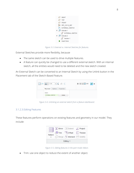

*Figure 3-3. External vs. Internal Sketches for features.*

External Sketches provide more flexibility, because

- The same sketch can be used to drive multiple features.
- A feature can quickly be changed to use a different external sketch. With an internal sketch, all the entities would need to be deleted and the new sketch created.

An External Sketch can be converted to an Internal Sketch by using the Unlink button in the Placement tab of the Sketch-Based Feature.



*Figure 3-4. Unlinking an external sketch from a feature dashboard.*

#### 3.1.2.3.Editing Features

These features perform operations on existing features and geometry in our model. They include:



*Figure 3-5. Editing features in the part mode ribbon.*

• Trim: use one object to reduce the extent of another object.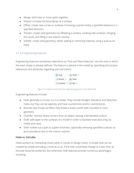- Merge: stitch two or more quilts together.
- Extend: increase the boundaries of a surface.
- Offset: create new curves or surfaces of moving a parent entity a specified distance in a specified direction.
- Thicken: create solid geometry by offsetting a surface, creating side surfaces, merging the result, and filling in the interior volume.
- Solidify: create solid geometry, either adding or removing material, using a quilt as an input.

#### 3.1.2.4.Engineering Features

Engineering Features sometimes referred to as "Pick and Place Features," are the ones in which the basic shape is already defined. The feature is placed in the model by specifying the location references and attributes regarding size and extent.



*Figure 3-6. Feature tools from the Engineering group on the Model tab.*

Engineering features include:

- Hole: generally a circular cut in a model. They include Straight, Standard, and Sketched holes, but they can be tapered, and have countersinks and/or counterbores.
- Rounds: also known as fillets, they break a sharp corner with rounded or conic geometry.
- Chamfer: remove sharp corners from an object, leaving a flat beveled surface.
- Draft: add taper to the surfaces of a model in order to facilitate manufacturing via molds and casts.
- Shell: hollow out a part to a given thickness, optionally removing specified surfaces so as to provide access to the interior volume.

#### Holes vs. Extrudes

Holes present an interesting choice when it comes to Design Intent. A simple hole can be created by simply extruding a circle as a cut. If the hole could likely change to a slot, then an Extrude would be preferred. But otherwise, hole features provide numerous advantages, including: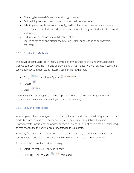- Changing between different dimensioning schemes.
- Easily adding counterbores, countersinks, and exit countersinks.
- Selecting standard holes from preconfigured lists for tapped, clearance, and tapered holes. These can include thread surfaces and automatically generated notes to be used in drawings.
- Reducing regeneration time with lightweight holes.
- Searching for holes and placing them with layers for suppression of downstream processes.

#### 3.1.3. Duplication Methods

The power of computers lies in their ability to perform operations over and over again, faster than we can, saving us the time and effort of doing things manually. Creo Parametric takes the same approach with duplicating features, using the following tools:

• Copy **and Paste Special Copy** and Paste Special • Pattern

• Mirror DIO Mirror

Duplicating features using these methods provide greater control and Design Intent than creating multiple entities in a Sketch (which is a bad practice).

#### <span id="page-9-0"></span>3.1.3.1.Copy and Paste Special

While Copy and Paste saves you from recreating features, it does not build Design Intent in the model because there is no dependency between the original object(s) and the copies. However, Paste Special does allow dependency; a Parent-Child Relationship can be established so that changes to the original are propagated to the duplicate.

However, if it's been a while since you last used this command, I recommend practicing on some sample models first. There are nuances to the command that are not intuitive.

To perform this operation, do the following:

- 1. Select the feature(s) you wish to copy.
- 2. Use CTRL-C or the Copy  $\bigoplus$  Copy command.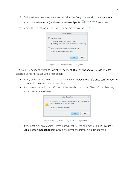3. Click the Paste drop-down menu (just below the Copy command in the Operations group on the Model tab) and select the Paste Special **Command**.

Here is where things get tricky. The Paste Special dialog box will open:



*Figure 3-7. The Paste Special dialog box.*

By default, Dependent copy and Partially dependent; Dimensions and AE Details only are selected. Some notes about this first option:

- It may be necessary to use this in conjunction with Advanced reference configuration in order to locate the copy in a new place.
- If you attempt to edit the definition of the sketch for a copied Sketch-Based Feature, you will receive a warning:



*Figure 3-8. Warning for editing definition of a dependent sketch.*

• If you right click on a copied Sketch-Based Feature, the command Copied Feature > Make Section Independent is available to break the Parent-Child Relationship.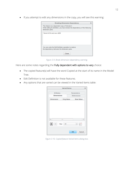• If you attempt to edit any dimensions in the copy, you will see this warning:

| <b>Breaking Dimension Dependency</b>                                                                                                                |  |
|-----------------------------------------------------------------------------------------------------------------------------------------------------|--|
| This feature is a dependent copy of Extrude 2.<br>While editing its definition, you have broken the dependency of the following<br>dimension pairs: |  |
| Parent d104 and new d206                                                                                                                            |  |
| You can undo the Edit Definition operation to restore<br>the dependency between the dimension pairs.                                                |  |
| Close                                                                                                                                               |  |

*Figure 3-9. Break dimension dependency warning.*

Here are some notes regarding the Fully dependent with options to vary choice:

- The copied feature(s) will have the word Copied at the start of its name in the Model Tree.
- Edit Definition is not available for these features.
- Any options that are varied can be viewed in the Varied Items table:

| <b>Varied Items</b>   |                   |                  |                   |   |         |  |
|-----------------------|-------------------|------------------|-------------------|---|---------|--|
|                       |                   |                  |                   |   |         |  |
| <b>3D Notes</b>       |                   |                  | <b>Parameters</b> |   |         |  |
| <b>Dimensions</b>     |                   |                  | <b>References</b> |   |         |  |
| <b>Dimension</b>      | <b>Orig Value</b> | <b>New Value</b> |                   |   |         |  |
| Filter<br>۰<br>$\sim$ | щı<br>All         |                  |                   | Ψ | Þ<br>₽Ň |  |
|                       |                   |                  | OK                |   | Cancel  |  |

*Figure 3-10. Copied feature Varied Items dialog box.*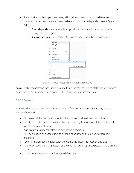- Right clicking on the copied feature(s) will provide access to the Copied Feature commands to access the Varied Items table and control the dependency (see [Figure](#page-12-0)  [3-11\)](#page-12-0).
	- o Break dependence temporarily suspends the duplicate from updating with changes to the original.
	- o Remove dependence permanently stops changes from being propagated.



*Figure 3-11. Copied Feature right mouse button commands.*

<span id="page-12-0"></span>Again, I highly recommend familiarizing yourself with the repercussions of the various options before using the command to be aware of its limitations to future changes.

#### 3.1.3.2.Patterns

Patterns allow us to create multiple instances of a feature, or a group of features, using a variety of methods:

- Dimension: define increments for the dimensions used to define the feature(s).
- Direction: create patterns in one or two directions by translation, rotation, coordinate systems, or a mix of these.
- Axis: create a rotational pattern in one or two directions.
- Fill: use an open or closed curve as either a boundary or a trajectory for locating instances.
- Table: fill in a spreadsheet for values to define the instance's location and size.
- Reference: use an existing pattern as the basis for creating a new pattern. More on this below.
- Curve: create a pattern by following a defined path.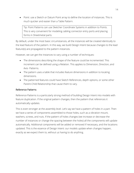• Point: use a Sketch or Datum Point array to define the location of instances. This is much quicker and easier than a Table Pattern.

Tip: Point Patterns can use Sketcher Coordinate Systems in addition to Points. This is very convenient for modeling cabling connector entry ports and placing forms in Sheetmetal parts.

By default, under the most basic circumstances, all the instances will be created identically to the lead feature of the pattern. In this way, we build Design Intent because changes to the lead feature(s) are propagated to the pattern instances.

However, we can get the instances to vary using a number of techniques:

- The dimensions describing the shape of the feature could be incremented. This increment can be defined using a Relation. This applies to Dimension, Direction, and Axis- Patterns.
- The pattern uses a table that includes feature dimensions in addition to locating dimensions.
- The patterned features could have Sketch References, depth options, or some other Parent-Child Relationship that cause them to vary.

#### Reference Patterns

Reference Patterns is a particularly strong method of building Design Intent into models with feature duplication. If the original pattern changes, then the pattern that references it automatically updates.

This is even stronger at the assembly level. Let's say we have a pattern of holes in a part. Then we have a series of components assembled to those holes, such as a vibration mount, washers, screws, and nuts. If the pattern of holes changes (we increase or decrease the number of instances or change the spacing between the holes) all the components will update automatically. Additional components will be added or removed if necessary, and the locations updated. This is the essence of Design Intent: our models update when changes happen, exactly as we expect them to, without us having to do anything.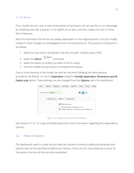#### 3.1.3.3.Mirror

If our model has one, two, or even three planes of symmetry, we can use this to our advantage by modeling only half, a quarter, or an eighth of our part, and then create one, two, or three Mirror features.

With this technique, the mirrors are always dependent on the original portion, so if you modify a feature, those changes are propagated to the mirrored portions. The process of doing this is as follows:

- 1. Select the top node in the Model Tree (the line with <model\_name>.PRT).
- 2. Select the **Mirror**  $\frac{D}{D}$  Mirror command.
- 3. Select the plane or surface you want to mirror about.
- 4. Click the middle mouse button to complete the feature.

One or more features in the model can also be mirrored, following the same general procedure. By default, it is set to Dependent using the Partially dependent; Dimensions and AE Details only option. These settings can be changed from the Options tab in the dashboard:

| File $\star$<br>Model<br><b>Analysis</b>                                                                                           |                | Annotate | Render            | <b>Tools</b> | <b>View</b>               | Flexib |  |
|------------------------------------------------------------------------------------------------------------------------------------|----------------|----------|-------------------|--------------|---------------------------|--------|--|
| 1 Surface<br>Mirror plane                                                                                                          |                |          |                   | Ш            | $\boldsymbol{\mathsf{x}}$ |        |  |
| <b>References</b>                                                                                                                  | <b>Options</b> |          | <b>Properties</b> |              |                           |        |  |
| Oependent copy<br>Fully dependent with options to vary<br>Partially dependent - Dimensions and AE Details only<br>$\circledbullet$ |                |          |                   |              |                           |        |  |

*Figure 3-12. Dependency for a mirrored feature.*

See Section [3.1.3.1](#page-9-0) on Copy and Paste Special for more information regarding the dependency options.

#### 3.2. Feature Options

The dashboard used to create various features contains numerous additional attributes and options that can be specified to define your feature. There are too many features to cover all the options, but we will discuss some examples.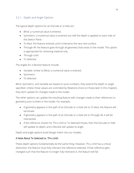#### 3.2.1. Depth and Angle Options

The typical depth options for an Extrude or a Hole are:

- Blind: a numerical value is entered.
- Symmetric: a numerical value is entered, but half the depth is applied on each side of the Sketch Plane.
- To Next: the feature extends until it intersects the very next surface.
- Through All: the feature goes through all geometry that exists in the model. This option is appropriate for removing material only.
- Through Until.
- To Selected.

The angles for a Revolve feature include:

- Variable: similar to Blind, a numerical value is entered.
- Symmetric.
- To Selected.

Blind, Symmetric, and Variable are based on pure numbers; they extend the depth or angle specified. Unless those values are controlled by Relations (more on those later in this chapter), they don't update for changes made to the model.

The other options can update the resulting feature with changes made to their references or geometry prior to them in the model. For example,

- If geometry appears in the path of an Extrude or a Hole set to To Next, the feature will terminate.
- If geometry appears in the path of an Extrude or a Hole set to Through All, it will be intersected.
- If the reference chosen for Thru Until or To Selected moves, then the Extrude or Hole will update its depth, and a Revolve will update its angle.

Depth and angle options build Design Intent into our models.

#### A Note About To Selected vs. Thru Until

These depth options fundamentally do the same thing. However, Thru Until has a critical distinction: the feature must fully intersect the reference selected. If that reference gets changed such that the feature no longer fully intersects it, the feature will fail.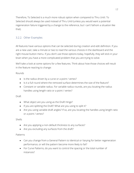Therefore, To Selected is a much more robust option when compared to Thru Until. To Selected should always be used instead of Thru Until (unless you would want a potential regeneration failure triggered by a change to the reference, but I can't fathom a situation like that).

#### 3.2.2. Other Examples

All features have various options that can be selected during creation and edit definition. If you are a new user, take a minute or two to read the various choices in the dashboard and the right mouse button menu. If you don't use those options today, hopefully, they will stick in your brain when you have a more complicated problem that you are trying to solve.

We'll take a look at some options for a few features. Think about how those choices will result in the feature reacting to change:

#### Rounds

- Is the radius driven by a curve or a point / vertex?
- Is it a full round where the removed surface determines the size of the feature?
- Constant or variable radius. For variable radius rounds, are you locating the radius handles using length ratio or a point / vertex?

#### Draft

- What object are you using as the Draft Hinge?
- If you are splitting the Draft? What are you using to split it?
- Are you using variable draft angles? If so, are you locating the handles using length ratio or a point / vertex?

#### Shells

- Are you applying a non-default thickness to any surfaces?
- Are you excluding any surfaces from the draft?

#### Patterns

- Can you change from a General Pattern to Identical or Varying for better regeneration performance, or will the pattern become more likely to fail?
- For Curve Patterns, do you want to control the spacing or the total number of instances?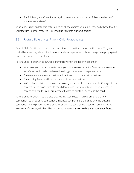• For Fill, Point, and Curve Patterns, do you want the instances to follow the shape of some other surface?

Your model's Design Intent is determined by all the choices you make, especially those that tie your feature to other features. This leads us right into our next section.

#### 3.3. Feature References: Parent-Child Relationships

Parent-Child Relationships have been mentioned a few times before in this book. They are critical because they determine how our models are parametric, how changes are propagated from one feature to other features.

Parent-Child Relationships in Creo Parametric work in the following manner:

- Whenever you create a new feature, you have to select existing features in the model as references, in order to determine things like location, shape, and size.
- The new feature you are creating will be the child of the existing feature.
- The existing feature will be the parent of the new feature.
- In Creo Parametric, children are absolutely dependent on their parents. Changes to the parents will be propagated to the children. And if you want to delete or suppress a parent, by default, Creo Parametric will want to delete or suppress the child.

Parent-Child Relationships are also created in assemblies. When we assemble a new component to an existing component, that new component is the child and the existing component is the parent. Parent-Child Relationships can also be created in assemblies via External References, which will be discussed in Section Error! Reference source not found..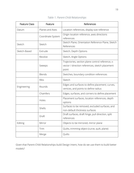| <b>Feature Class</b> | Feature           | References                                                                                                    |  |  |  |  |  |  |
|----------------------|-------------------|---------------------------------------------------------------------------------------------------------------|--|--|--|--|--|--|
| Datum                | Planes and Axes   | Location references, display size reference                                                                   |  |  |  |  |  |  |
|                      | Coordinate System | Origin location reference, axes directions<br>references                                                      |  |  |  |  |  |  |
| Sketch               | Sketch            | Sketch Plane, Orientation Reference Plane, Sketch<br>References                                               |  |  |  |  |  |  |
| Sketch-Based         | Extrude           | Sketch, Depth Options                                                                                         |  |  |  |  |  |  |
|                      | Revolve           | Sketch, Angle Options                                                                                         |  |  |  |  |  |  |
|                      | Sweeps            | Trajectories, section plane control reference, x-<br>vector / direction references, sketch placement<br>point |  |  |  |  |  |  |
|                      | <b>Blends</b>     | Sketches, boundary condition references                                                                       |  |  |  |  |  |  |
|                      | <b>Ribs</b>       | Sketch                                                                                                        |  |  |  |  |  |  |
| Engineering          | Rounds            | Edges and surfaces to define placement; curves,<br>vertices, and points to define radius                      |  |  |  |  |  |  |
|                      | Chamfers          | Edges, surfaces, and corners to define placement                                                              |  |  |  |  |  |  |
|                      | Holes             | Placement surfaces, location references, depth<br>options                                                     |  |  |  |  |  |  |
|                      | Shells            | Surfaces to be removed, excluded surfaces, and<br>non-default thickness surfaces                              |  |  |  |  |  |  |
|                      | Draft             | Draft surfaces, draft hinge, pull direction, split<br>references                                              |  |  |  |  |  |  |
| Editing              | Mirror            | Objects to be mirrored, mirror plane                                                                          |  |  |  |  |  |  |
|                      | Trim              | Quilts, trimming object (curve, quilt, plane)                                                                 |  |  |  |  |  |  |
|                      | Merge             | Quilts                                                                                                        |  |  |  |  |  |  |

*Table 1. Parent-Child Relationships*

Given that Parent-Child Relationships build Design Intent, how do we use them to build better models?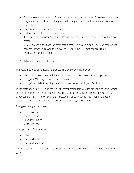- Choose references carefully. The more stable they are, the better. By stable, I mean that they are either not likely to change, or will change in very predictable ways that aren't disruptive.
- The fewer the references, the better.
- Surfaces are better choices than edges.
- If you can use Advanced Selection Methods or Intent References (see below) that's even better.
- Default datum planes are the most stable features in your model. They can make great parents. However, go with the logical choice for how you want changes to be propagated in your model.

#### 3.3.1. Advanced Selection Methods

The basic methods of selecting references in Creo Parametric include:

- Left-clicking on entities in the graphics area (or Model Tree when appropriate).
- Using the CTRL key to perform a multi-select.
- Using Query Select (tapping the right mouse button quickly) or Pick From List.

These methods allow you to select explicit references; that is, you are picking a specific surface or edge. However, for certain kinds of features, you can use advanced selection methods, either using the SHIFT key or the Details button in various dashboards. These advanced selection methods are a little more robust than selecting explicit references.

The types of edge chains are:

- From-To chains.
- Tangent Chains.
- Boundary Chains.
- Surface loops.

The types of surface sets are:

- Solid surfaces.
- Loop surfaces.
- Seed and boundary.

For information on how to construct these, refer to the Creo 3.0 or Creo 4.0 Quick Reference Card.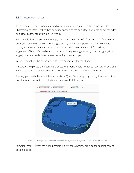#### 3.3.2. Intent References

There is an even more robust method of selecting references for features like Rounds, Chamfers, and Draft. Rather than selecting specific edges or surfaces, you can select the edges or surfaces associated with a given feature.

For example, let's say you want to apply rounds to the edges of a feature. If that feature is a brick, you could select the top four edges one by one. But supposed the feature changes shape, and instead of a brick, it becomes an extruded racetrack. It's still four edges, but the edges are different. Or maybe it changes to a circle (one edge to pick), or an octagon (eight edges), or some n-sided shape, even including internal loops.

In such a situation, the round would fail to regenerate after the change.

If, however, we picked the Intent References, the round would not fail to regenerate, because we are selecting the edges associated with the feature, not specific explicit edges.

The way you reach the Intent References is via Query Select (tapping the right mouse button over the reference until the selection appears) or Pick from List.



*Figure 3-13. Using Query Select to pick the Intent References of a feature to create a Draft feature.*

Selecting Intent References when possible is definitely a healthy practice for building robust design models.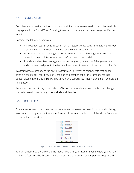#### 3.4. Feature Order

Creo Parametric retains the history of the model. Parts are regenerated in the order in which they appear in the Model Tree. Changing the order of these features can change our Design Intent.

Consider the following examples:

- A Through All cut removes material from all features that appear after it is in the Model Tree. If a feature is moved above the cut, the cut will not affect it.
- Features with a depth or angle option To Next will have different geometry results depending on which features appear before them in the model.
- Rounds and chamfers propagate to tangent edges by default, so if the geometry is added or removed prior to the feature, it can affect the extent of the round or chamfer.

In assemblies, a component can only be assembled to reference components that appear after it in the Model Tree. If you Edit Definition of a component, all the components that appear after it in the Model Tree will be temporarily suppressed, thus making them unavailable for selection.

Because order and history have such an effect on our models, we need methods to change the order. We do that through Insert Mode and Reorder.

#### 3.4.1. Insert Mode

Sometimes we want to add features or components at an earlier point in our model's history, in other words, higher up in the Model Tree. You'll notice at the bottom of the Model Tree is an arrow that says Insert Here:



*Figure 3-14. Insert Here arrow at the bottom of the Model Tree.*

You can simply drag the arrow up the Model Tree until you reach the point where you want to add more features. The features after the Insert Here arrow will be temporarily suppressed in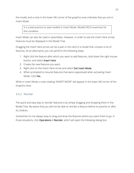the model, and a note in the lower left corner of the graphics area indicates that you are in Insert Mode.

It is a bad practice to save models in Insert Mode. ModelCHECK examines for this condition.

Insert Mode can also be used in assemblies. However, in order to see the Insert Here arrow, Features must be displayed in the Model Tree.

Dragging the Insert Here arrow can be a pain in the neck in a model that contains a lot of features. As an alternative, you can perform the following steps:

- 1. Right click the feature after which you want to add features, hold down the right mouse button, and select Insert Here.
- 2. Create the new features you want.
- 3. Right click on the Insert Here arrow and select Exit Insert Mode.
- 4. When prompted to resume features that were suppressed when activating Insert Mode. Click Yes.

While in Insert Mode, a note reading "INSERT MODE" will appear in the lower left corner of the Graphics Area.

#### 3.4.2. Reorder

The quick and easy way to reorder features is by simply dragging and dropping them in the Model Tree. Be aware that you will not be able to reorder a feature before its parents or after its children.

Sometimes it's not always easy to drag and drop the features where you want them to go. In those situations, click Operations > Reorder, which will open the following dialog box: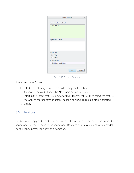| <b>Feature Reorder</b>    | $\mathsf{x}$ |
|---------------------------|--------------|
| Features to be reordered  |              |
| Select items              |              |
|                           |              |
|                           |              |
|                           |              |
| <b>Dependent Features</b> |              |
|                           |              |
|                           |              |
|                           |              |
| New location              |              |
| $\bullet$ After           |              |
| Before                    |              |
| Target feature            |              |
| Click here to add item    |              |
|                           |              |
|                           | OK           |
|                           | ance         |

*Figure 3-15. Reorder dialog box.*

The process is as follows:

- 1. Select the features you want to reorder using the CTRL key.
- 2. (Optional) If desired, change the After radio button to Before.
- 3. Select in the Target feature collector or RMB Target Feature. Then select the feature you want to reorder after or before, depending on which radio button is selected.
- 4. Click OK.

#### 3.5. Relations

Relations are simply mathematical expressions that relate some dimensions and parameters in your model to other dimensions in your model. Relations add Design Intent to your model because they increase the level of automation.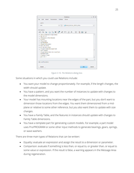

*Figure 3-16. The Relations dialog box.*

Some situations in which you could use Relations include:

- You want your model to change proportionately. For example, if the length changes, the width should update.
- You have a pattern, and you want the number of instances to update with changes to the model dimensions.
- Your model has mounting locations near the edges of the part, but you don't want to dimension those locations from the edges. You want them dimensioned from a midplane or relative to some other reference, but you also want them to update with size changes.
- You have a Family Table, and the features in instances should update with changes to Family Table dimensions.
- You have a template part for generating custom models. For example, a part model uses Pro/PROGRAM or some other input methods to generate bearings, gears, springs, or wave washers.

There are three main types of Relations that can be written:

- Equality: evaluate an expression and assign the result to a dimension or parameter.
- Comparison: evaluate if something is less than, or equal to, or greater than, or equal to some value or expression. If the result is false, a warning appears in the Message Area during regeneration.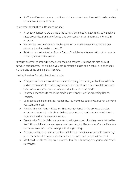• If – Then – Else: evaluates a condition and determines the actions to follow depending on whether it is true or false.

Some other capabilities in Relations include:

- A variety of functions are available including, trigonometric, logarithmic, string editing, mass properties, significant figures, and even cable harness information for use in Relations.
- Parameters used in Relations can be assigned units. By default, Relations are unit sensitive, but this can be turned off.
- Relations can extract values from a Datum Graph feature for evaluations that can't be driven by an explicit equation.

Although assemblies aren't discussed until the next chapter, Relations can also be built between components. For example, you can control the length and width of a lid to change with the size of the opening that it covers.

Healthy Practices for using Relations include:

- Always precede Relations with a comment line; any line starting with a forward slash and an asterisk (/\*). It's frustrating to open up a model with numerous Relations, and then spend significant time figuring out what they do in the model.
- Rename dimensions to make the model user-friendly. See the preceding Healthy Practice.
- Use spaces and blank lines for readability. You may have eagle eyes, but not everyone you work with does.
- Avoid writing Relations in Sketches. This was mentioned in the previous chapter. Relations written at that level can be hard to detect and can leave your model with a permanent yellow regeneration status.
- Do not write Circular Relations where something ends up ultimately being defined by itself. Although Relations are regenerated in order, just like features, Circular Relations can cause errors and result in unpredictable geometry.
- As mentioned above, be aware of the limitations of Relations written at the assembly level. For better alternatives, see the section on Top Down Design in Chapter 4.
- Most of all, use them! They are a powerful tool for automating how your model reacts to changes.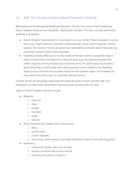#### 3.6. BMX: The Ultimate in Feature Based Parametric Modeling

BMX stands for the Behavioral Modeling Extension. The two main parts of this module are Datum Analysis Features and Feasibility / Optimization Studies. The basic concept behind the workflow is as follows:

- Datum Analysis Features perform calculations on your model. These calculations can be basic (e.g., length, distance, volume) or advanced (e.g., mass, center of gravity, surface quality). The results of these calculations are parameters and even datum features (e.g., coordinate system at the center of gravity).
- Feasibility Studies allow you to modify model dimensions within a specified range in order to drive these calculations to a desired value (e.g., the distance between the center of gravity and my rotation axis should be zero). An Optimization Study adds a goal minimizing or maximizing some other quantity in your model to the Feasibility Study, so as to find the best possible result over the solution space. For example, we may want to minimize mass or maximize internal volume.

In other words, we are going to generate the values we want to track, and then get Creo Parametric to make those parameters have the values we want them to have.

Types of Datum Analysis Features include:

- Measure:
	- o Distance
	- o Area
	- o Length
	- o Diameter
	- o Angle
	- o Volume
- Mass Properties for models and cross sections:
	- o Mass
	- o Surface area
	- o Center of gravity
	- o Inertia (e.g., inertia tensors, principle moments of inertia, and radii of gyration)
- Geometry:
	- o Inside and outside radius of a surface
	- o Surface curvature and surface normal
	- o Gaussian and section curvature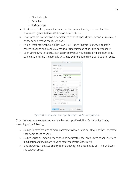- o Dihedral angle
- o Deviation
- o Surface slope
- Relations: calculate parameters based on the parameters in your model and/or parameters generated from Datum Analysis Features.
- Excel: pass dimensions and parameters to an Excel spreadsheet, perform calculations on them, and receive the results back.
- Prime / Mathcad Analysis: similar to an Excel Datum Analysis Feature, except this passes values to and from a Mathcad worksheet instead of an Excel spreadsheet.
- User Defined Analyses: create a custom analysis using a special kind of datum point called a Datum Field Point that is calculated over the domain of a surface or an edge.

|                 |                                                                                                                                                                                                                                        | <b>Mass Properties</b>               | x      |  |  |  |  |  |  |
|-----------------|----------------------------------------------------------------------------------------------------------------------------------------------------------------------------------------------------------------------------------------|--------------------------------------|--------|--|--|--|--|--|--|
| <b>Analysis</b> | Feature                                                                                                                                                                                                                                |                                      |        |  |  |  |  |  |  |
| Quilt:          | Solid geometry                                                                                                                                                                                                                         |                                      |        |  |  |  |  |  |  |
|                 | Coordinate system:                                                                                                                                                                                                                     | Select items<br><b>√</b> Use default |        |  |  |  |  |  |  |
| Density:        |                                                                                                                                                                                                                                        | 9.791206e-02                         |        |  |  |  |  |  |  |
| Accuracy:       |                                                                                                                                                                                                                                        | 0.00001000                           |        |  |  |  |  |  |  |
|                 | VOLUME = 8.9802057e+00 INCH^3<br>SURFACE AREA = 6.5862905e+01 INCH^2<br>Ξ<br>DENSITY = 9.7912065e-02 POUND / INCH^3<br>MASS = 8.7927048e-01 POUND<br>CENTER OF GRAVITY with respect to MFG MC<br>X Y Z 0.0000000e+00 6.0869743e-01 0.0 |                                      |        |  |  |  |  |  |  |
| Feature         | TITL                                                                                                                                                                                                                                   | þ<br>Center-Gravity                  | Ŧ      |  |  |  |  |  |  |
| Preview         | Repeat                                                                                                                                                                                                                                 | OK                                   | Cancel |  |  |  |  |  |  |

*Figure 3-17. Creating a Datum Analysis Feature for a model's mass properties.*

Once these values are calculated, we can then set up a Feasibility / Optimization Study, consisting of the following:

- Design Constraints: one of more parameters driven to be equal to, less than, or greater than some specified value.
- Design Variables: model dimensions and parameters that are allowed to vary between a minimum and maximum value to meet the Design Constraints.
- Goals (Optimization Studies only): some quantity to be maximized or minimized over the solution space.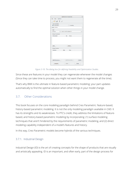|                                                         | <b>Optimization/Feasibility</b> | ×             |
|---------------------------------------------------------|---------------------------------|---------------|
| File<br>Run<br><b>Options</b>                           |                                 |               |
| <b>D</b><br>ī                                           |                                 |               |
| <b>Study Type/Name</b><br>O Optimization<br>Name OPTIM1 | Feasibility                     |               |
| Goal                                                    |                                 |               |
| Minimize                                                | <b>MASS:CENTER-GRAVITY</b>      | v             |
| <b>Design Constraints</b>                               |                                 |               |
| Parameter                                               | Value<br>Op                     |               |
| Add                                                     | <b>Delete</b>                   |               |
| <b>Design Variables</b><br>Variable                     | Min                             |               |
|                                                         | Max                             |               |
| <b>Add Dimension</b>                                    | Add Parameter                   | <b>Delete</b> |
| Compute                                                 | Undo                            | Close         |

*Figure 3-18. The dialog box for defining Feasibility and Optimization Studies.*

Since these are features in your model they can regenerate whenever the model changes (Since they can take time to process, you might not want them to regenerate all the time).

That's why BMX is the ultimate in feature-based parametric modeling: your part updates automatically to find the optimal solution when other things in your model change.

#### 3.7. Other Considerations

This book focuses on the core modeling paradigm behind Creo Parametric: feature-based, history-based parametric modeling. It is not the only modeling paradigm available in CAD. It has its strengths and its weaknesses. To PTC's credit, they address the limitations of featurebased, and history-based parametric modeling by incorporating: (1) surface modeling techniques that aren't hindered by the requirements of parametric modeling, and (2) direct modeling capability independent of a model's features and history.

In this way, Creo Parametric models become hybrids of the various techniques.

#### 3.7.1. Industrial Design

Industrial Design (ID) is the art of creating concepts for the shape of products that are visually and artistically appealing. ID is an important, and often early, part of the design process for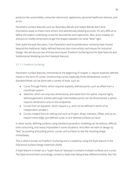products like automobiles, consumer electronics, appliances, personal healthcare devices, and so on.

Parametric surface features such as, Boundary Blends and Swept Blends don't lend themselves easily to these more artistic and aesthetically pleasing pursuits. It's very difficult to define the explicit underlying curves for boundaries and trajectories. Also, once created, it's arduous to modify dimensions to get the shapes tweaked into what "feels" right.

Over quite the past few years, Creo Parametric (and its predecessor versions) have moved beyond the traditional, highly defined features into more artistic techniques for Industrial Design. We will discuss two of those techniques: Freeform Surfacing (via the Style feature) and Subdivisional Modeling (via the Freestyle feature).

#### 3.7.1.1.Freeform Surfacing

Parametric surface features, mentioned at the beginning of chapter 2, require explicitly defined inputs in the form of curves. Constructing curves, especially three-dimensional curves in Standard Mode can be done with a variety of tools, such as:

- Curve Through Points: which requires explicitly defined points, such as offset from a coordinate system.
- Sketches: which are only two-dimensional, and aside from the spline, require highly defined geometric entities (although intermediate points can be dimensioned, a spline requires dimensions only on the endpoints).
- Curves from an equation: which require x, y, and z to be defined in terms of an independent variable t.
- Curves created from an editing tool such as Project, Wrap, Intersect, Offset, and so on , require some edge, pre-defined curve, or pre-defined surfaces as input.

In other words, defining surfaces using standard parametric modeling can be tedious, difficult, time-consuming, and nearly impossible in some situations. And often we want to design by "feel," by pushing and pulling points, curves, and surfaces to see the resulting shape immediately.

This is what is known as Freeform Surfacing and is created by using the Style feature in the Interactive Surface Design Extension (ISDX).

A Style feature is known as a "super feature" because it contains multiple surfaces and curves. The Style environment accordingly contains a Style tree listing these different entities. But this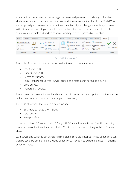is where Style has a significant advantage over standard parametric modeling. In Standard Mode, when you edit the definition of an entity, all the subsequent entities in the Model Tree are temporarily suppressed. You cannot see the effect of your change immediately. However, in the Style environment, you can edit the definition of a curve or surface, and all the other entities remain visible and update as you're working, providing immediate feedback.

| File $\star$<br>Model           | Analysis                                 | Annotate                          | Render            | Tools   | View           | <b>Flexible Modeling</b> |                | Applications                  | Style |    |        |
|---------------------------------|------------------------------------------|-----------------------------------|-------------------|---------|----------------|--------------------------|----------------|-------------------------------|-------|----|--------|
| o∞ Regenerate All               | $\sqrt{}$                                | Curve Edit<br>عكم                 |                   |         | K Surface Edit |                          |                | Curvature Connection          |       |    | X      |
| $\times$ Delete                 |                                          |                                   | $\sim$ Drop Curve |         |                | Surface Connect          |                | Reflection [4] Saved Analysis |       |    |        |
| $e^{\mathcal{O}}$ Unlink        | Set Active<br>Plane $\blacktriangledown$ | Curve<br>$\overline{\phantom{a}}$ | COS by Intersect  | Surface |                | <b>2</b> Surface Trim    | <b>R</b> Knots | Hide All                      |       | OК | Cancel |
| Operations $\blacktriangledown$ | Plane                                    | Curve –                           |                   |         | Surface        |                          |                | Analysis =                    |       |    | Close  |

*Figure 3-19. The Style toolbar.*

The kinds of curves that can be created in the Style environment include:

- Free Curves (3D).
- Planar Curves (2D).
- Curves on Surface.
- Radial Path Planar Curves (curves located on a "soft plane" normal to a curve).
- Drop Curves.
- Proportional Copies.

These curves can be manipulated and controlled. For example, the endpoint conditions can be defined, and internal points can be snapped to geometry.

The kinds of surfaces that can be created include:

- Boundary Surfaces (3 or 4 sides).
- Loft Surfaces.
- Sweep Surfaces.

Surfaces can have G0 (connected), G1 (tangent), G2 (curvature continuous), or G3 (matching acceleration) continuity at their boundaries. Within Style, there are editing tools like Trim and Mirror.

Style curves and surfaces can generate dimensional controls if desired. These dimensions can then be used like other Standard Mode dimensions. They can be edited and used in Patterns or Family Tables.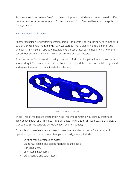Parametric surfaces can use free-form curves as inputs, and similarly, surfaces created in ISDX can use parametric curves as inputs. Editing operations from Standard Mode can be applied to Style geometry.

#### 3.7.1.2.Subdivisional Modeling

Another technique for designing complex, organic, and aesthetically-pleasing surface models is so that they resemble modeling with clay. We start out with a blob of matter, and then push and pull it, refining the shape as we go. It is a very artistic, intuitive method in which we either can't or don't want to define a full set of dimensions and parameters.

This is known as Subdivisional Modeling. You start off with this lump that has a control mesh surrounding it. You can break up the mesh (subdivide it) and then push and pull the edges and surfaces of the mesh to create the desired shape.



*Figure 3-20. Freestyle feature.*

These kinds of models are created within the Freestyle command. You start by creating an initial shape known as a Primitive. These can be 2D like circles, rings, squares, and triangles. Or they can be 3D like spheres, cylinders, cubes, and tori (donuts).

Since this is more of an artistic approach, there is no standard uniform. But the kinds of operations you can perform to achieve your desired geometry include:

- Splitting mesh surfaces and edges.
- Dragging, rotating, and scaling mesh faces and edges.
- Extruding faces.
- Connecting mesh faces.
- Creating hard and soft creases.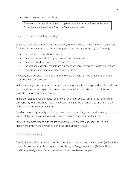• Mirror the mesh about a plane.

Creo 4.0 adds the ability to have multiple objects in the same Freestyle feature. To facilitate manipulation, a Freestyle Tree is also added.

#### 3.7.2. The Direct Modeling Paradigm

So far, we have concentrated on feature-based, history-based parametric modeling, the basis for design in Creo Parametric. This modeling paradigm is characterized by the following:

- Our part models consist of features.
- These features are driven by dimensions and parameters.
- These features have parent-child relationships.
- Our part and assembly models are history dependent; the order in which objects are regenerated affects what geometry is generated.

However, there are alternative paradigms, and these paradigms have benefits at different stages of the design process.

In the early stages, we may want to iterate numerous concepts for shape and function, without having to define all the explicit dimensions and parameters that drive the model. We want to generate ideas and geometry quickly.

In the later stages, once our parts have all their geometry and our assemblies have all their components, we may want to implement design changes without having to understand the models' histories and Design Intent.

The direct modeling paradigm allows you to create and modify geometry without regard to the history of the model and without fully dimensioned and parameterized features.

For Creo Parametric models, there are two ways of using Direct Modeling: the Flexible Modeling tab within Creo Parametric and the Creo Direct interface.

#### 3.7.2.1.Flexible Modeling

The Flexible Modeling tab within Creo Parametric provides two major advantages: (1) the ability to modify part models without regard to the history or Design Intent; and (2) the ability to modify imported geometry that otherwise couldn't have been changed.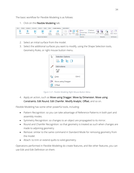The basic workflow for Flexible Modeling is as follows:

1. Click on the Flexible Modeling tab.



- 2. Select an initial surface from the model.
- 3. Select the additional surfaces you want to modify, using the Shape Selection tools, Geometry Rules, or right mouse button menu.



*Figure 3-21. Flexible Modeling Right Mouse Button Menu*

4. Apply an action, such as Move using Dragger, Move by Dimension, Move using Constraints, Edit Round, Edit Chamfer, Modify Analytic, Offset, and so on.

Flexible Modeling has some other powerful tools, including:

- Pattern Recognition: so you can take advantage of Reference Patterns in both part and assembly modes.
- Symmetry Recognition: so changes to an object are propagated to its mirror.
- Round and Chamfer Recognition: so that geometry is treated as such when changes are made to adjoining geometry.
- Remove: similar to the same command in Standard Mode for removing geometry from the model.
- Attach: to trim or extend quilts to solid geometry.

Operations performed in Flexible Modeling do create features, and like other features, you can use Edit and Edit Definition on them.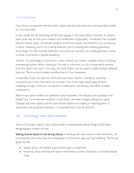#### 3.7.2.2.Creo Direct

Creo Direct is a separate interface that creates and uses the same part and assembly models as Creo Parametric.

In part mode, the 2D sketching and 3D tools appear in the same ribbon interface. It contains basic tools only for the quick creation and modification of geometry. The Model Tree contains Datums (Planes, Axes, Coordinate Systems, and Points), Quilts, and Sketches, but no features; in direct modeling, you're not creating features, you're creating and modifying geometry. Accordingly, the Edit and Edit Definition commands do not exist; you modify geometry similar to those commands in Flexible Modeling.

Another nice advantage in Creo Direct is that a Sketch can contain multiple entities, including overlapping entities. When creating an Extrude or a Revolve, you can choose which entities from the Sketch are used. In this way, the same Sketch can be used to create multiple different features. This is a much simpler workflow than in Creo Parametric.

In assembly mode, the relevant commands are Insert, Position, and Move; assembly constraints as in Creo Parametric do not exist. One of the major advantages of direct modeling, though, is that you can perform modifications, like Moves, that affect multiple components.

When those same models are opened in Creo Parametric, the features are exposed in the Model Tree. If a model was modified in Creo Direct, the View Changes dialog box opens. Changes are color coded, and the user has the option of accepting or rejecting them. In assemblies, the parametric behavior is suspended, but it can be restored.

#### 3.8. How Design Intent Gets Defeated

Some of the ways in which users intentionally or inadvertently defeat Design Intent when designing part models include:

Making choices based on the wrong criteria: In working with users new to Creo Parametric, I've encountered users who have the wrong goals in mind when approaching modeling. The wrong goals include:

- Speed: what is the fastest way to build a part or assembly?
- Simplicity: what methods will result in the fewest number of features or shortest Model Tree?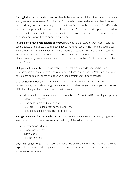Getting locked into a standard process: People like standard workflows. It reduces uncertainty and gives us a better sense of confidence. But there is no standard template when it comes to part modeling. You can't say "always start off with an Extrude as the base feature" and "rounds must never appear in the top quarter of the Model Tree." There are healthy practices to follow for sure, but these are not dogma. If you want to be innovative, you should be aware of the guidelines, but know when to diverge from them.

Relying on too much non-editable geometry: Part models that start off with import features can be edited using Direct Modeling techniques. However, tools in the Flexible Modeling tab work better with more prismatic geometry. Models that start off with Data Sharing Features like Copy Geometry and Shrinkwrap that cannot be traced back to their source components (due to renaming, data loss, data ownership changes, etc.) can be difficult or even impossible to modify later.

Multiple entities in a sketch: This is probably the least recommended method in Creo Parametric in order to duplicate features. Patterns, Mirrors, and Copy & Paste Special provide much more flexible modification opportunities to accommodate future changes.

User-unfriendly models: One of the downsides of Design Intent is that you must have a good understanding of a model's Design Intent in order to make changes to it. Complex models are difficult to change when users don't do the following:

- Make simple features with a minimum number of Parent-Child Relationships, especially External References.
- Rename features and dimensions.
- Use Local Groups to organize the Model Tree.
- Use spaces and comment lines in Relations.

Saving models with fundamentally bad practices: Models should never be saved (long-term at least, or into data management systems) with any of the following issues:

- Regeneration failures.
- Suppressed objects.
- Insert Mode.
- Circular references.

Overriding dimensions: This is a particular pet peeve of mine and one I believe that should be expressly forbidden at all companies. It is possibly one of the worst practices that can be implemented in a model.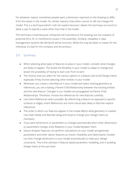For whatever reason, sometimes people want a dimension reported on the drawing to differ from the values in the model. For similar reasons, they either cannot or will not change the model. This is a technique (which I will not explain because I detest this technique so much) to allow a user to specify a value other than that in the model.

This technique is bad because companies will manufacture the drawing, but are unaware of potential form, fit, or interference issues in the assembly. Similarly, viewables in data management systems like Windchill will be incorrect. While this may be faster or easier for the individual, it's bad for the company and the product.

#### 3.9. Summary

- When selecting what types of features to place in your model, consider what changes are likely to happen. This builds the flexibility in your model to adapt to change and lessen the possibility of having to start over from scratch.
- The choices that you select for the various options in a feature also build Design Intent, especially if they involve selecting other entities in your model.
- Whenever you create a new feature in your model and select existing geometry as references, you are creating a Parent-Child Relationship between the existing entities and the new feature. Changes in our models are propagated via Parent-Child Relationships. Therefore, choose the references for new features carefully.
- Use Intent References when possible. By referencing a feature as opposed to specific surfaces or edges, Intent References are more robust (less likely to fail) than explicit references.
- The order in which our features appear in the model affects what geometry is created. Use Insert Mode and Reorder (drag and drop) to change your Design Intent as necessary.
- If you want dimensions or parameters to change automatically when other dimensions or parameters change, write Relations in your model between them.
- Datum Analysis Features can perform calculations on your model and generate parameters and other datum features as results. Feasibility and Optimization Studies can then change dimensions in your model automatically to meet your design constraints. This is the ultimate in feature-based parametric modeling, and in building Design Intent at the part level.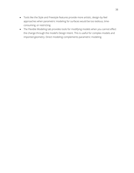- Tools like the Style and Freestyle features provide more artistic, design-by-feel approaches when parametric modeling for surfaces would be too tedious, timeconsuming, or restricting.
- The Flexible Modeling tab provides tools for modifying models when you cannot effect the change through the model's Design Intent. This is useful for complex models and imported geometry. Direct modeling complements parametric modeling.